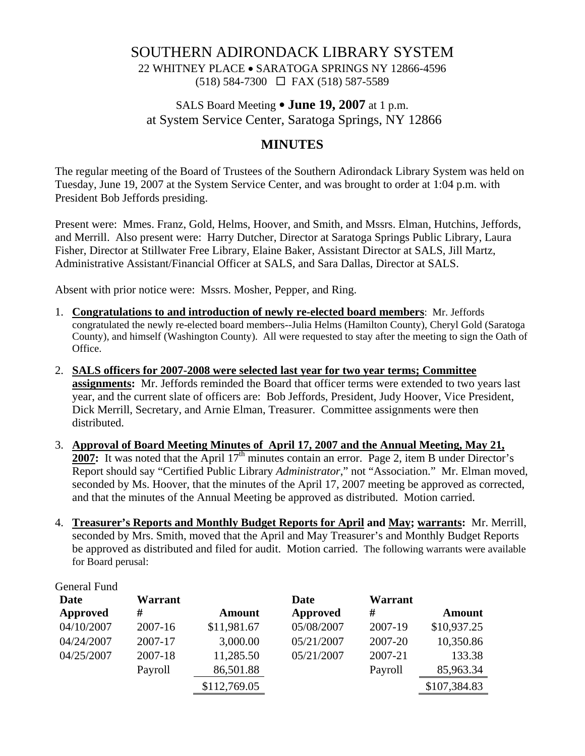# SOUTHERN ADIRONDACK LIBRARY SYSTEM

22 WHITNEY PLACE • SARATOGA SPRINGS NY 12866-4596 (518) 584-7300 FAX (518) 587-5589

# SALS Board Meeting  $\bullet$  **June 19, 2007** at 1 p.m. at System Service Center, Saratoga Springs, NY 12866

## **MINUTES**

The regular meeting of the Board of Trustees of the Southern Adirondack Library System was held on Tuesday, June 19, 2007 at the System Service Center, and was brought to order at 1:04 p.m. with President Bob Jeffords presiding.

Present were: Mmes. Franz, Gold, Helms, Hoover, and Smith, and Mssrs. Elman, Hutchins, Jeffords, and Merrill. Also present were: Harry Dutcher, Director at Saratoga Springs Public Library, Laura Fisher, Director at Stillwater Free Library, Elaine Baker, Assistant Director at SALS, Jill Martz, Administrative Assistant/Financial Officer at SALS, and Sara Dallas, Director at SALS.

Absent with prior notice were: Mssrs. Mosher, Pepper, and Ring.

- 1. **Congratulations to and introduction of newly re-elected board members**: Mr. Jeffords congratulated the newly re-elected board members--Julia Helms (Hamilton County), Cheryl Gold (Saratoga County), and himself (Washington County). All were requested to stay after the meeting to sign the Oath of Office.
- 2. **SALS officers for 2007-2008 were selected last year for two year terms; Committee assignments:** Mr. Jeffords reminded the Board that officer terms were extended to two years last year, and the current slate of officers are: Bob Jeffords, President, Judy Hoover, Vice President, Dick Merrill, Secretary, and Arnie Elman, Treasurer. Committee assignments were then distributed.
- 3. **Approval of Board Meeting Minutes of April 17, 2007 and the Annual Meeting, May 21, 2007:** It was noted that the April  $17<sup>th</sup>$  minutes contain an error. Page 2, item B under Director's Report should say "Certified Public Library *Administrator*," not "Association." Mr. Elman moved, seconded by Ms. Hoover, that the minutes of the April 17, 2007 meeting be approved as corrected, and that the minutes of the Annual Meeting be approved as distributed. Motion carried.
- 4. **Treasurer's Reports and Monthly Budget Reports for April and May; warrants:** Mr. Merrill, seconded by Mrs. Smith, moved that the April and May Treasurer's and Monthly Budget Reports be approved as distributed and filed for audit. Motion carried. The following warrants were available for Board perusal:

| Warrant |               | Date       | Warrant |               |
|---------|---------------|------------|---------|---------------|
| #       | <b>Amount</b> | Approved   | #       | <b>Amount</b> |
| 2007-16 | \$11,981.67   | 05/08/2007 | 2007-19 | \$10,937.25   |
| 2007-17 | 3,000.00      | 05/21/2007 | 2007-20 | 10,350.86     |
| 2007-18 | 11,285.50     | 05/21/2007 | 2007-21 | 133.38        |
| Payroll | 86,501.88     |            | Payroll | 85,963.34     |
|         | \$112,769.05  |            |         | \$107,384.83  |
|         |               |            |         |               |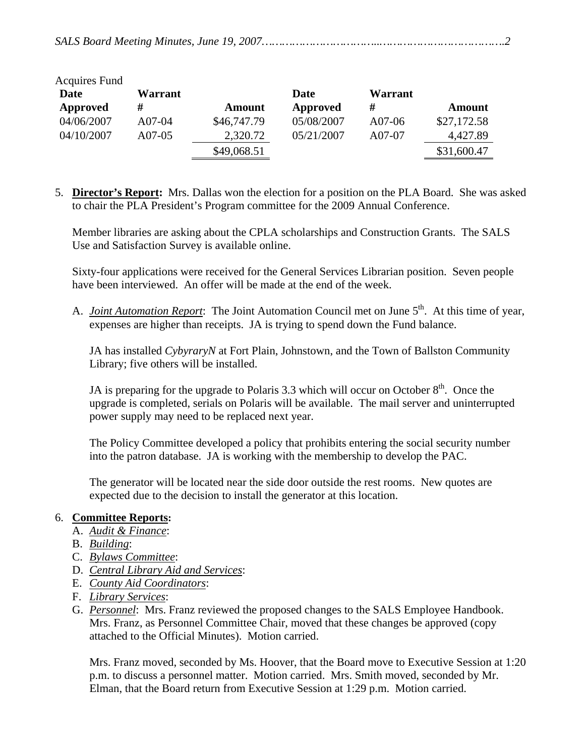|--|--|--|--|

| <b>Acquires Fund</b> |          |             |            |         |             |
|----------------------|----------|-------------|------------|---------|-------------|
| Date                 | Warrant  |             | Date       | Warrant |             |
| Approved             | #        | Amount      | Approved   | #       | Amount      |
| 04/06/2007           | $A07-04$ | \$46,747.79 | 05/08/2007 | A07-06  | \$27,172.58 |
| 04/10/2007           | A07-05   | 2,320.72    | 05/21/2007 | A07-07  | 4,427.89    |
|                      |          | \$49,068.51 |            |         | \$31,600.47 |

5. **Director's Report:** Mrs. Dallas won the election for a position on the PLA Board. She was asked to chair the PLA President's Program committee for the 2009 Annual Conference.

Member libraries are asking about the CPLA scholarships and Construction Grants. The SALS Use and Satisfaction Survey is available online.

Sixty-four applications were received for the General Services Librarian position. Seven people have been interviewed. An offer will be made at the end of the week.

A. *Joint Automation Report*: The Joint Automation Council met on June 5<sup>th</sup>. At this time of year, expenses are higher than receipts. JA is trying to spend down the Fund balance.

JA has installed *CybyraryN* at Fort Plain, Johnstown, and the Town of Ballston Community Library; five others will be installed.

JA is preparing for the upgrade to Polaris 3.3 which will occur on October  $8<sup>th</sup>$ . Once the upgrade is completed, serials on Polaris will be available. The mail server and uninterrupted power supply may need to be replaced next year.

The Policy Committee developed a policy that prohibits entering the social security number into the patron database. JA is working with the membership to develop the PAC.

The generator will be located near the side door outside the rest rooms. New quotes are expected due to the decision to install the generator at this location.

#### 6. **Committee Reports:**

- A. *Audit & Finance*:
- B. *Building*:
- C. *Bylaws Committee*:
- D. *Central Library Aid and Services*:
- E. *County Aid Coordinators*:
- F. *Library Services*:
- G. *Personnel*: Mrs. Franz reviewed the proposed changes to the SALS Employee Handbook. Mrs. Franz, as Personnel Committee Chair, moved that these changes be approved (copy attached to the Official Minutes). Motion carried.

Mrs. Franz moved, seconded by Ms. Hoover, that the Board move to Executive Session at 1:20 p.m. to discuss a personnel matter. Motion carried. Mrs. Smith moved, seconded by Mr. Elman, that the Board return from Executive Session at 1:29 p.m. Motion carried.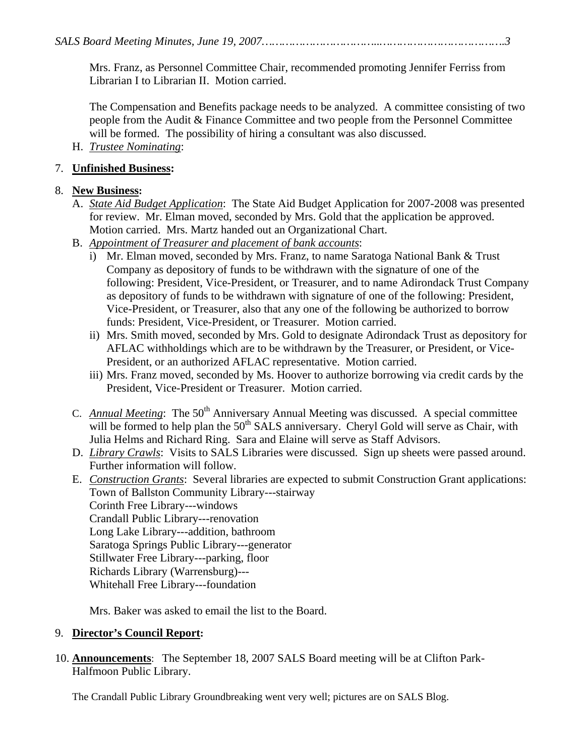*SALS Board Meeting Minutes, June 19, 2007……………………………..……………………………….3* 

Mrs. Franz, as Personnel Committee Chair, recommended promoting Jennifer Ferriss from Librarian I to Librarian II. Motion carried.

The Compensation and Benefits package needs to be analyzed. A committee consisting of two people from the Audit & Finance Committee and two people from the Personnel Committee will be formed. The possibility of hiring a consultant was also discussed.

H. *Trustee Nominating*:

### 7. **Unfinished Business:**

### 8. **New Business:**

- A. *State Aid Budget Application*: The State Aid Budget Application for 2007-2008 was presented for review. Mr. Elman moved, seconded by Mrs. Gold that the application be approved. Motion carried. Mrs. Martz handed out an Organizational Chart.
- B. *Appointment of Treasurer and placement of bank accounts*:
	- i) Mr. Elman moved, seconded by Mrs. Franz, to name Saratoga National Bank & Trust Company as depository of funds to be withdrawn with the signature of one of the following: President, Vice-President, or Treasurer, and to name Adirondack Trust Company as depository of funds to be withdrawn with signature of one of the following: President, Vice-President, or Treasurer, also that any one of the following be authorized to borrow funds: President, Vice-President, or Treasurer. Motion carried.
	- ii) Mrs. Smith moved, seconded by Mrs. Gold to designate Adirondack Trust as depository for AFLAC withholdings which are to be withdrawn by the Treasurer, or President, or Vice-President, or an authorized AFLAC representative. Motion carried.
	- iii) Mrs. Franz moved, seconded by Ms. Hoover to authorize borrowing via credit cards by the President, Vice-President or Treasurer. Motion carried.
- C. *Annual Meeting*: The 50<sup>th</sup> Anniversary Annual Meeting was discussed. A special committee will be formed to help plan the  $50<sup>th</sup> SALS$  anniversary. Cheryl Gold will serve as Chair, with Julia Helms and Richard Ring. Sara and Elaine will serve as Staff Advisors.
- D. *Library Crawls*: Visits to SALS Libraries were discussed. Sign up sheets were passed around. Further information will follow.
- E. *Construction Grants*: Several libraries are expected to submit Construction Grant applications: Town of Ballston Community Library---stairway Corinth Free Library---windows Crandall Public Library---renovation Long Lake Library---addition, bathroom Saratoga Springs Public Library---generator Stillwater Free Library---parking, floor Richards Library (Warrensburg)--- Whitehall Free Library---foundation

Mrs. Baker was asked to email the list to the Board.

### 9. **Director's Council Report:**

10. **Announcements**: The September 18, 2007 SALS Board meeting will be at Clifton Park-Halfmoon Public Library.

The Crandall Public Library Groundbreaking went very well; pictures are on SALS Blog.